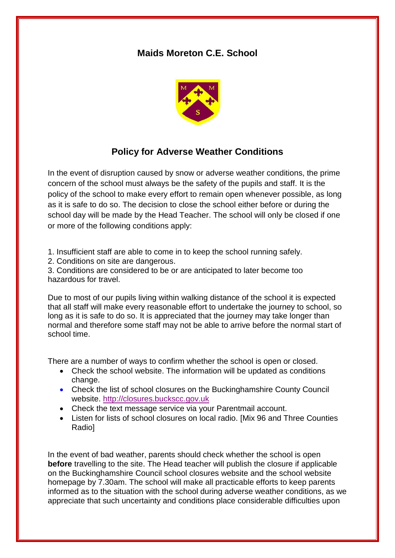## **Maids Moreton C.E. School**



## **Policy for Adverse Weather Conditions**

In the event of disruption caused by snow or adverse weather conditions, the prime concern of the school must always be the safety of the pupils and staff. It is the policy of the school to make every effort to remain open whenever possible, as long as it is safe to do so. The decision to close the school either before or during the school day will be made by the Head Teacher. The school will only be closed if one or more of the following conditions apply:

1. Insufficient staff are able to come in to keep the school running safely.

2. Conditions on site are dangerous.

3. Conditions are considered to be or are anticipated to later become too hazardous for travel.

Due to most of our pupils living within walking distance of the school it is expected that all staff will make every reasonable effort to undertake the journey to school, so long as it is safe to do so. It is appreciated that the journey may take longer than normal and therefore some staff may not be able to arrive before the normal start of school time.

There are a number of ways to confirm whether the school is open or closed.

- Check the school website. The information will be updated as conditions change.
- Check the list of school closures on the Buckinghamshire County Council website. [http://closures.buckscc.gov.uk](http://closures.buckscc.gov.uk/)
- Check the text message service via your Parentmail account.
- Listen for lists of school closures on local radio. [Mix 96 and Three Counties Radio]

In the event of bad weather, parents should check whether the school is open **before** travelling to the site. The Head teacher will publish the closure if applicable on the Buckinghamshire Council school closures website and the school website homepage by 7.30am. The school will make all practicable efforts to keep parents informed as to the situation with the school during adverse weather conditions, as we appreciate that such uncertainty and conditions place considerable difficulties upon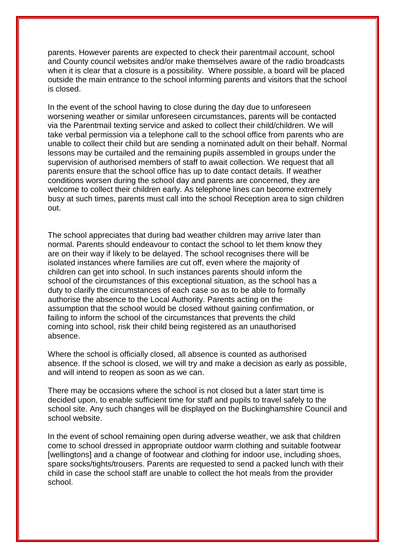parents. However parents are expected to check their parentmail account, school and County council websites and/or make themselves aware of the radio broadcasts when it is clear that a closure is a possibility. Where possible, a board will be placed outside the main entrance to the school informing parents and visitors that the school is closed.

In the event of the school having to close during the day due to unforeseen worsening weather or similar unforeseen circumstances, parents will be contacted via the Parentmail texting service and asked to collect their child/children. We will take verbal permission via a telephone call to the school office from parents who are unable to collect their child but are sending a nominated adult on their behalf. Normal lessons may be curtailed and the remaining pupils assembled in groups under the supervision of authorised members of staff to await collection. We request that all parents ensure that the school office has up to date contact details. If weather conditions worsen during the school day and parents are concerned, they are welcome to collect their children early. As telephone lines can become extremely busy at such times, parents must call into the school Reception area to sign children out.

The school appreciates that during bad weather children may arrive later than normal. Parents should endeavour to contact the school to let them know they are on their way if likely to be delayed. The school recognises there will be isolated instances where families are cut off, even where the majority of children can get into school. In such instances parents should inform the school of the circumstances of this exceptional situation, as the school has a duty to clarify the circumstances of each case so as to be able to formally authorise the absence to the Local Authority. Parents acting on the assumption that the school would be closed without gaining confirmation, or failing to inform the school of the circumstances that prevents the child coming into school, risk their child being registered as an unauthorised absence.

Where the school is officially closed, all absence is counted as authorised absence. If the school is closed, we will try and make a decision as early as possible, and will intend to reopen as soon as we can.

There may be occasions where the school is not closed but a later start time is decided upon, to enable sufficient time for staff and pupils to travel safely to the school site. Any such changes will be displayed on the Buckinghamshire Council and school website.

In the event of school remaining open during adverse weather, we ask that children come to school dressed in appropriate outdoor warm clothing and suitable footwear [wellingtons] and a change of footwear and clothing for indoor use, including shoes, spare socks/tights/trousers. Parents are requested to send a packed lunch with their child in case the school staff are unable to collect the hot meals from the provider school.